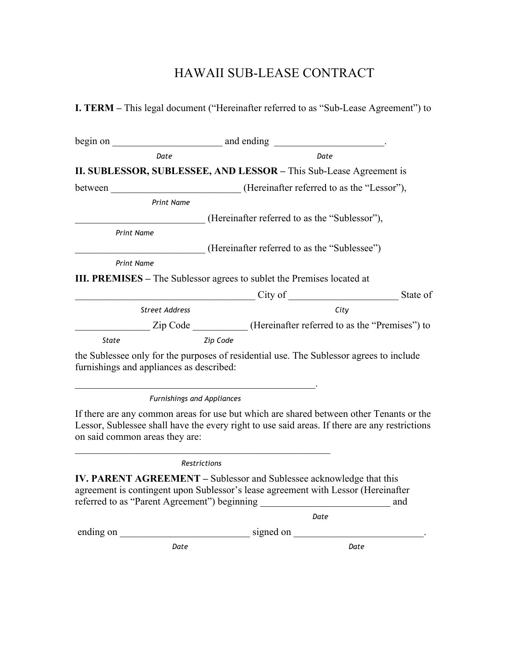## HAWAII SUB-LEASE CONTRACT

**I. TERM –** This legal document ("Hereinafter referred to as "Sub-Lease Agreement") to

|                       | Date                                       | Date                                                                                                                                                                                     |  |  |
|-----------------------|--------------------------------------------|------------------------------------------------------------------------------------------------------------------------------------------------------------------------------------------|--|--|
|                       |                                            | II. SUBLESSOR, SUBLESSEE, AND LESSOR - This Sub-Lease Agreement is                                                                                                                       |  |  |
| between               | (Hereinafter referred to as the "Lessor"), |                                                                                                                                                                                          |  |  |
|                       | <b>Print Name</b>                          |                                                                                                                                                                                          |  |  |
|                       |                                            | (Hereinafter referred to as the "Sublessor"),                                                                                                                                            |  |  |
| <b>Print Name</b>     |                                            |                                                                                                                                                                                          |  |  |
|                       |                                            | (Hereinafter referred to as the "Sublessee")                                                                                                                                             |  |  |
| <b>Print Name</b>     |                                            |                                                                                                                                                                                          |  |  |
|                       |                                            | <b>III. PREMISES</b> – The Sublessor agrees to sublet the Premises located at                                                                                                            |  |  |
|                       |                                            | City of State of                                                                                                                                                                         |  |  |
| <b>Street Address</b> |                                            | City                                                                                                                                                                                     |  |  |
|                       |                                            | Zip Code _____________(Hereinafter referred to as the "Premises") to                                                                                                                     |  |  |
| <b>State</b>          |                                            | Zip Code                                                                                                                                                                                 |  |  |
|                       | furnishings and appliances as described:   | the Sublessee only for the purposes of residential use. The Sublessor agrees to include                                                                                                  |  |  |
|                       | Furnishings and Appliances                 |                                                                                                                                                                                          |  |  |
|                       | on said common areas they are:             | If there are any common areas for use but which are shared between other Tenants or the<br>Lessor, Sublessee shall have the every right to use said areas. If there are any restrictions |  |  |
|                       | <b>Restrictions</b>                        |                                                                                                                                                                                          |  |  |

**IV. PARENT AGREEMENT –** Sublessor and Sublessee acknowledge that this agreement is contingent upon Sublessor's lease agreement with Lessor (Hereinafter referred to as "Parent Agreement") beginning \_\_\_\_\_\_\_\_\_\_\_\_\_\_\_\_\_\_\_\_\_\_\_\_\_\_ and

|  |  | Date |
|--|--|------|
|  |  |      |

ending on \_\_\_\_\_\_\_\_\_\_\_\_\_\_\_\_\_\_\_\_\_\_\_\_\_\_ signed on \_\_\_\_\_\_\_\_\_\_\_\_\_\_\_\_\_\_\_\_\_\_\_\_\_\_.

 *Date Date*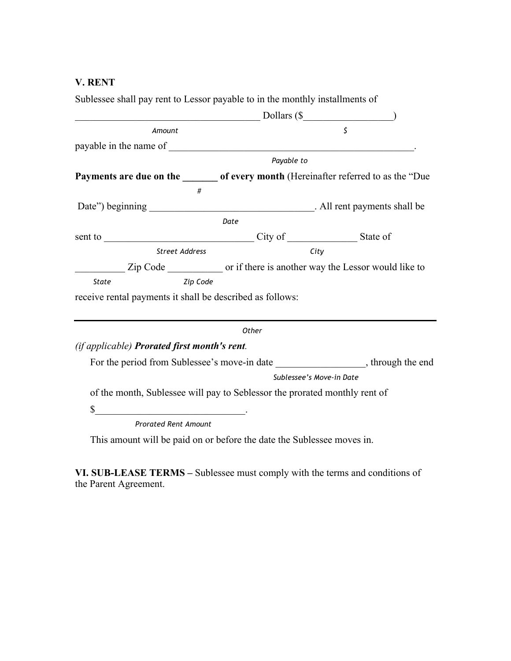## **V. RENT**

Sublessee shall pay rent to Lessor payable to in the monthly installments of

|                                                               | $\frac{1}{2}$ Dollars (\$                                                           |
|---------------------------------------------------------------|-------------------------------------------------------------------------------------|
| Amount                                                        | $\mathsf{\hat{S}}$                                                                  |
|                                                               |                                                                                     |
|                                                               | Payable to                                                                          |
|                                                               | Payments are due on the _______ of every month (Hereinafter referred to as the "Due |
| #                                                             |                                                                                     |
|                                                               |                                                                                     |
|                                                               | Date                                                                                |
|                                                               |                                                                                     |
| <b>Street Address</b>                                         | City                                                                                |
|                                                               |                                                                                     |
| Zip Code<br>State                                             |                                                                                     |
| receive rental payments it shall be described as follows:     |                                                                                     |
|                                                               |                                                                                     |
|                                                               | Other                                                                               |
| (if applicable) Prorated first month's rent.                  |                                                                                     |
|                                                               |                                                                                     |
|                                                               | Sublessee's Move-in Date                                                            |
|                                                               | of the month, Sublessee will pay to Seblessor the prorated monthly rent of          |
| \$                                                            |                                                                                     |
| <u> 1989 - Johann John Stone, francuski politik (</u> † 1922) |                                                                                     |
| <b>Prorated Rent Amount</b>                                   |                                                                                     |

This amount will be paid on or before the date the Sublessee moves in.

VI. SUB-LEASE TERMS – Sublessee must comply with the terms and conditions of the Parent Agreement.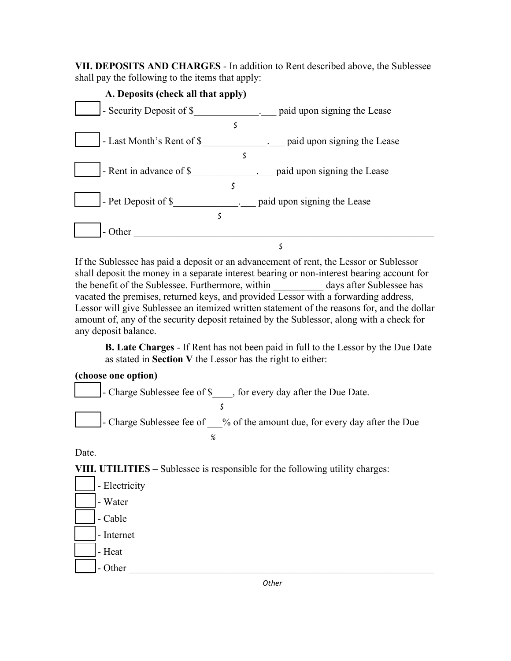**VII. DEPOSITS AND CHARGES** *-* In addition to Rent described above, the Sublessee shall pay the following to the items that apply:

| A. Deposits (check all that apply) |    |                             |
|------------------------------------|----|-----------------------------|
| - Security Deposit of \$           |    | paid upon signing the Lease |
|                                    | \$ |                             |
| - Last Month's Rent of \$          |    | paid upon signing the Lease |
|                                    | \$ |                             |
| - Rent in advance of \$            |    | paid upon signing the Lease |
|                                    | \$ |                             |
| - Pet Deposit of \$                |    | paid upon signing the Lease |
|                                    | S  |                             |
| - Other                            |    |                             |
|                                    |    |                             |

If the Sublessee has paid a deposit or an advancement of rent, the Lessor or Sublessor shall deposit the money in a separate interest bearing or non-interest bearing account for the benefit of the Sublessee. Furthermore, within \_\_\_\_\_\_\_\_\_\_ days after Sublessee has vacated the premises, returned keys, and provided Lessor with a forwarding address, Lessor will give Sublessee an itemized written statement of the reasons for, and the dollar amount of, any of the security deposit retained by the Sublessor, along with a check for any deposit balance.

**B. Late Charges** - If Rent has not been paid in full to the Lessor by the Due Date as stated in **Section V** the Lessor has the right to either:

## **(choose one option)**



Date.

**VIII. UTILITIES** *–* Sublessee is responsible for the following utility charges:

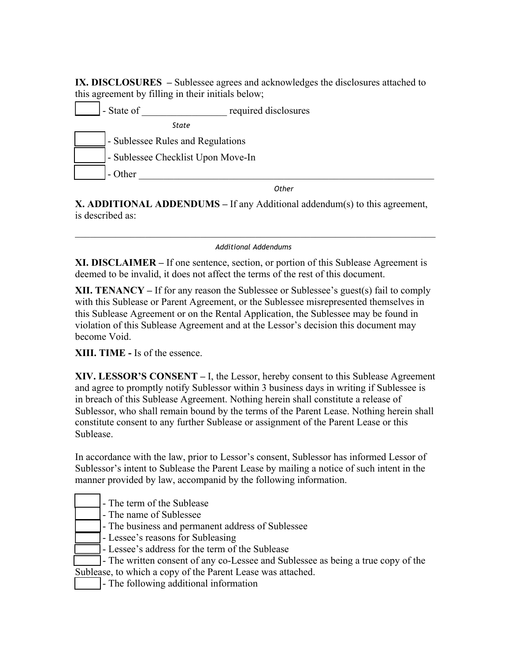**IX. DISCLOSURES –** Sublessee agrees and acknowledges the disclosures attached to this agreement by filling in their initials below;

- State of Tequired disclosures  *State* \_\_\_\_\_\_ - Sublessee Rules and Regulations - Sublessee Checklist Upon Move-In \_\_\_\_\_\_ - Other \_\_\_\_\_\_\_\_\_\_\_\_\_\_\_\_\_\_\_\_\_\_\_\_\_\_\_\_\_\_\_\_\_\_\_\_\_\_\_\_\_\_\_\_\_\_\_\_\_\_\_\_\_\_\_\_\_\_\_

ا المستخدم المستخدم المستخدم المستخدم المستخدم المستخدم المستخدم المستخدم المستخدم المستخدم المستخدم المستخدم

**X. ADDITIONAL ADDENDUMS –** If any Additional addendum(s) to this agreement, is described as:

 $\mathcal{L}_\text{max} = \mathcal{L}_\text{max} = \mathcal{L}_\text{max} = \mathcal{L}_\text{max} = \mathcal{L}_\text{max} = \mathcal{L}_\text{max} = \mathcal{L}_\text{max} = \mathcal{L}_\text{max} = \mathcal{L}_\text{max} = \mathcal{L}_\text{max} = \mathcal{L}_\text{max} = \mathcal{L}_\text{max} = \mathcal{L}_\text{max} = \mathcal{L}_\text{max} = \mathcal{L}_\text{max} = \mathcal{L}_\text{max} = \mathcal{L}_\text{max} = \mathcal{L}_\text{max} = \mathcal{$  *Additional Addendums*

**XI. DISCLAIMER –** If one sentence, section, or portion of this Sublease Agreement is deemed to be invalid, it does not affect the terms of the rest of this document.

**XII. TENANCY –** If for any reason the Sublessee or Sublessee's guest(s) fail to comply with this Sublease or Parent Agreement, or the Sublessee misrepresented themselves in this Sublease Agreement or on the Rental Application, the Sublessee may be found in violation of this Sublease Agreement and at the Lessor's decision this document may become Void.

**XIII. TIME -** Is of the essence.

**XIV. LESSOR'S CONSENT –** I, the Lessor, hereby consent to this Sublease Agreement and agree to promptly notify Sublessor within 3 business days in writing if Sublessee is in breach of this Sublease Agreement. Nothing herein shall constitute a release of Sublessor, who shall remain bound by the terms of the Parent Lease. Nothing herein shall constitute consent to any further Sublease or assignment of the Parent Lease or this Sublease.

In accordance with the law, prior to Lessor's consent, Sublessor has informed Lessor of Sublessor's intent to Sublease the Parent Lease by mailing a notice of such intent in the manner provided by law, accompanid by the following information.

- \_\_\_\_\_ The term of the Sublease
- The name of Sublessee
- The business and permanent address of Sublessee
- Lessee's reasons for Subleasing
- Lessee's address for the term of the Sublease
- The written consent of any co-Lessee and Sublessee as being a true copy of the Sublease, to which a copy of the Parent Lease was attached.
	- The following additional information